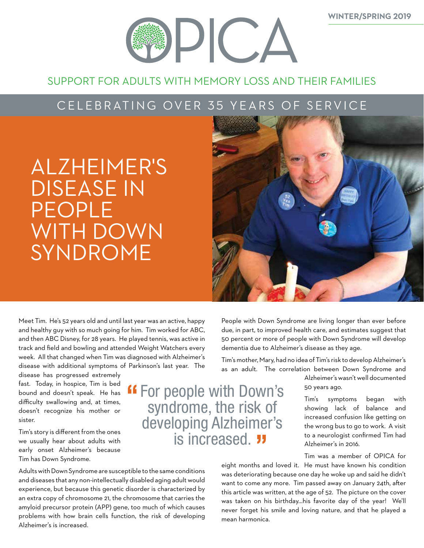

### SUPPORT FOR ADULTS WITH MEMORY LOSS AND THEIR FAMILIES

### CELEBRATING OVER 35 YEARS OF SERVICE

# ALZHEIMER'S DISEASE IN PEOPLE WITH DOWN SYNDROME



Meet Tim. He's 52 years old and until last year was an active, happy and healthy guy with so much going for him. Tim worked for ABC, and then ABC Disney, for 28 years. He played tennis, was active in track and field and bowling and attended Weight Watchers every week. All that changed when Tim was diagnosed with Alzheimer's disease with additional symptoms of Parkinson's last year. The

disease has progressed extremely fast. Today, in hospice, Tim is bed bound and doesn't speak. He has difficulty swallowing and, at times, doesn't recognize his mother or sister.

Tim's story is different from the ones we usually hear about adults with early onset Alzheimer's because Tim has Down Syndrome.

Adults with Down Syndrome are susceptible to the same conditions and diseases that any non-intellectually disabled aging adult would experience, but because this genetic disorder is characterized by an extra copy of chromosome 21, the chromosome that carries the amyloid precursor protein (APP) gene, too much of which causes problems with how brain cells function, the risk of developing Alzheimer's is increased.

People with Down Syndrome are living longer than ever before due, in part, to improved health care, and estimates suggest that 50 percent or more of people with Down Syndrome will develop dementia due to Alzheimer's disease as they age.

Tim's mother, Mary, had no idea of Tim's risk to develop Alzheimer's as an adult. The correlation between Down Syndrome and

### For people with Down's syndrome, the risk of developing Alzheimer's is increased. **"**

Alzheimer's wasn't well documented 50 years ago.

Tim's symptoms began with showing lack of balance and increased confusion like getting on the wrong bus to go to work. A visit to a neurologist confirmed Tim had Alzheimer's in 2016.

Tim was a member of OPICA for

eight months and loved it. He must have known his condition was deteriorating because one day he woke up and said he didn't want to come any more. Tim passed away on January 24th, after this article was written, at the age of 52. The picture on the cover was taken on his birthday…his favorite day of the year! We'll never forget his smile and loving nature, and that he played a mean harmonica.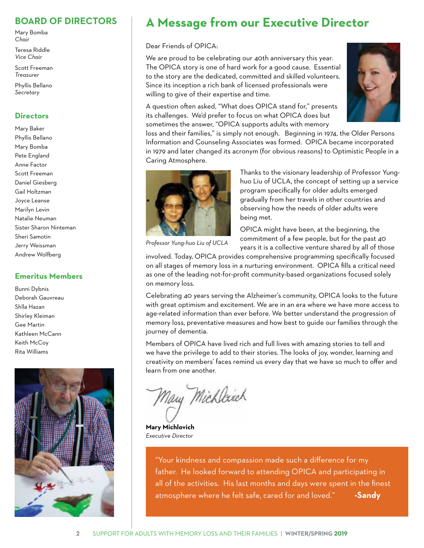### **BOARD OF DIRECTORS**

Mary Bomba *Chair*

Teresa Riddle *Vice Chair*

Scott Freeman *Treasurer*

Phyllis Bellano *Secretary*

### **Directors**

Mary Baker Phyllis Bellano Mary Bomba Pete England Anne Factor Scott Freeman Daniel Giesberg Gail Holtzman Joyce Leanse Marilyn Levin Natalie Neuman Sister Sharon Ninteman Sheri Samotin Jerry Weissman Andrew Wolfberg

### **Emeritus Members**

Bunni Dybnis Deborah Gauvreau Shîla Hazan Shirley Kleiman Gee Martin Kathleen McCann Keith McCoy Rita Williams



### **A Message from our Executive Director**

#### Dear Friends of OPICA:

We are proud to be celebrating our 40th anniversary this year. The OPICA story is one of hard work for a good cause. Essential to the story are the dedicated, committed and skilled volunteers. Since its inception a rich bank of licensed professionals were willing to give of their expertise and time.

A question often asked, "What does OPICA stand for," presents its challenges. We'd prefer to focus on what OPICA does but sometimes the answer, "OPICA supports adults with memory



loss and their families," is simply not enough. Beginning in 1974, the Older Persons Information and Counseling Associates was formed. OPICA became incorporated in 1979 and later changed its acronym (for obvious reasons) to Optimistic People in a Caring Atmosphere.



Thanks to the visionary leadership of Professor Yunghuo Liu of UCLA, the concept of setting up a service program specifically for older adults emerged gradually from her travels in other countries and observing how the needs of older adults were being met.

OPICA might have been, at the beginning, the commitment of a few people, but for the past 40 years it is a collective venture shared by all of those

involved. Today, OPICA provides comprehensive programming specifically focused on all stages of memory loss in a nurturing environment. OPICA fills a critical need as one of the leading not-for-profit community-based organizations focused solely on memory loss.

Celebrating 40 years serving the Alzheimer's community, OPICA looks to the future with great optimism and excitement. We are in an era where we have more access to age-related information than ever before. We better understand the progression of memory loss, preventative measures and how best to guide our families through the journey of dementia.

Members of OPICA have lived rich and full lives with amazing stories to tell and we have the privilege to add to their stories. The looks of joy, wonder, learning and creativity on members' faces remind us every day that we have so much to offer and learn from one another.

Mary Michleich

**Mary Michlovich** *Executive Director* 

"Your kindness and compassion made such a difference for my father. He looked forward to attending OPICA and participating in all of the activities. His last months and days were spent in the finest atmosphere where he felt safe, cared for and loved." **-Sandy**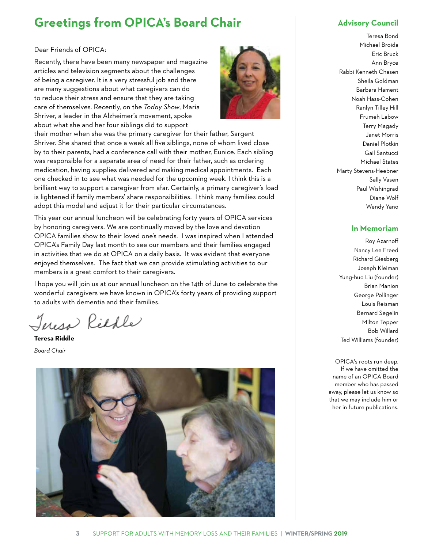### **Greetings from OPICA's Board Chair Advisory Council**

#### Dear Friends of OPICA:

Recently, there have been many newspaper and magazine articles and television segments about the challenges of being a caregiver. It is a very stressful job and there are many suggestions about what caregivers can do to reduce their stress and ensure that they are taking care of themselves. Recently, on the *Today Show*, Maria Shriver, a leader in the Alzheimer's movement, spoke about what she and her four siblings did to support



their mother when she was the primary caregiver for their father, Sargent Shriver. She shared that once a week all five siblings, none of whom lived close by to their parents, had a conference call with their mother, Eunice. Each sibling was responsible for a separate area of need for their father, such as ordering medication, having supplies delivered and making medical appointments. Each one checked in to see what was needed for the upcoming week. I think this is a brilliant way to support a caregiver from afar. Certainly, a primary caregiver's load is lightened if family members' share responsibilities. I think many families could adopt this model and adjust it for their particular circumstances.

This year our annual luncheon will be celebrating forty years of OPICA services by honoring caregivers. We are continually moved by the love and devotion OPICA families show to their loved one's needs. I was inspired when I attended OPICA's Family Day last month to see our members and their families engaged in activities that we do at OPICA on a daily basis. It was evident that everyone enjoyed themselves. The fact that we can provide stimulating activities to our members is a great comfort to their caregivers.

I hope you will join us at our annual luncheon on the 14th of June to celebrate the wonderful caregivers we have known in OPICA's forty years of providing support to adults with dementia and their families.

Teresa Richle

**Teresa Riddle**

*Board Chair* 



Teresa Bond Michael Broida Eric Bruck Ann Bryce Rabbi Kenneth Chasen Sheila Goldman Barbara Hament Noah Hass-Cohen Ranlyn Tilley Hill Frumeh Labow Terry Magady Janet Morris Daniel Plotkin Gail Santucci Michael States Marty Stevens-Heebner Sally Vasen Paul Wishingrad Diane Wolf Wendy Yano

### **In Memoriam**

Roy Azarnoff Nancy Lee Freed Richard Giesberg Joseph Kleiman Yung-huo Liu (founder) Brian Manion George Pollinger Louis Reisman Bernard Segelin Milton Tepper Bob Willard Ted Williams (founder)

OPICA's roots run deep. If we have omitted the name of an OPICA Board member who has passed away, please let us know so that we may include him or her in future publications.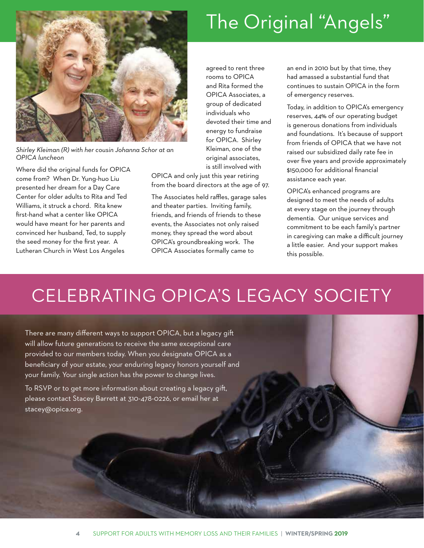

*Shirley Kleiman (R) with her cousin Johanna Schor at an OPICA luncheon*

Where did the original funds for OPICA come from? When Dr. Yung-huo Liu presented her dream for a Day Care Center for older adults to Rita and Ted Williams, it struck a chord. Rita knew first-hand what a center like OPICA would have meant for her parents and convinced her husband, Ted, to supply the seed money for the first year. A Lutheran Church in West Los Angeles

agreed to rent three rooms to OPICA and Rita formed the OPICA Associates, a group of dedicated individuals who devoted their time and energy to fundraise for OPICA. Shirley Kleiman, one of the original associates, is still involved with

OPICA and only just this year retiring from the board directors at the age of 97.

The Associates held raffles, garage sales and theater parties. Inviting family, friends, and friends of friends to these events, the Associates not only raised money, they spread the word about OPICA's groundbreaking work. The OPICA Associates formally came to

an end in 2010 but by that time, they had amassed a substantial fund that continues to sustain OPICA in the form of emergency reserves.

Today, in addition to OPICA's emergency reserves, 44% of our operating budget is generous donations from individuals and foundations. It's because of support from friends of OPICA that we have not raised our subsidized daily rate fee in over five years and provide approximately \$150,000 for additional financial assistance each year.

OPICA's enhanced programs are designed to meet the needs of adults at every stage on the journey through dementia. Our unique services and commitment to be each family's partner in caregiving can make a difficult journey a little easier. And your support makes this possible.

# CELEBRATING OPICA'S LEGACY SOCIETY

There are many different ways to support OPICA, but a legacy gift will allow future generations to receive the same exceptional care provided to our members today. When you designate OPICA as a beneficiary of your estate, your enduring legacy honors yourself and your family. Your single action has the power to change lives.

To RSVP or to get more information about creating a legacy gift, please contact Stacey Barrett at 310-478-0226, or email her at stacey@opica.org.

# The Original "Angels"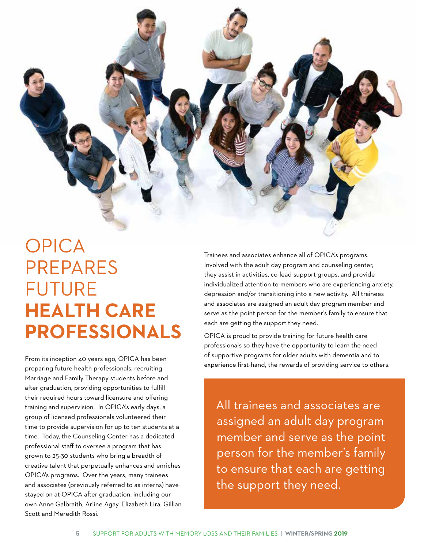

# OPICA PREPARES FUTURE **HEALTH CARE PROFESSIONALS**

From its inception 40 years ago, OPICA has been preparing future health professionals, recruiting Marriage and Family Therapy students before and after graduation, providing opportunities to fulfill their required hours toward licensure and offering training and supervision. In OPICA's early days, a group of licensed professionals volunteered their time to provide supervision for up to ten students at a time. Today, the Counseling Center has a dedicated professional staff to oversee a program that has grown to 25-30 students who bring a breadth of creative talent that perpetually enhances and enriches OPICA's programs. Over the years, many trainees and associates (previously referred to as interns) have stayed on at OPICA after graduation, including our own Anne Galbraith, Arline Agay, Elizabeth Lira, Gillian Scott and Meredith Rossi.

Trainees and associates enhance all of OPICA's programs. Involved with the adult day program and counseling center, they assist in activities, co-lead support groups, and provide individualized attention to members who are experiencing anxiety, depression and/or transitioning into a new activity. All trainees and associates are assigned an adult day program member and serve as the point person for the member's family to ensure that each are getting the support they need.

OPICA is proud to provide training for future health care professionals so they have the opportunity to learn the need of supportive programs for older adults with dementia and to experience first-hand, the rewards of providing service to others.

All trainees and associates are assigned an adult day program member and serve as the point person for the member's family to ensure that each are getting the support they need.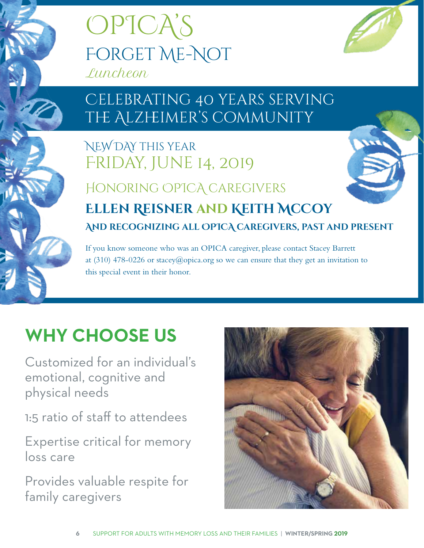



# Celebrating 40 years serving THE ALZHEIMER'S COMMUNITY

## NEW DAY this year Friday, June 14, 2019

# Honoring OPICA caregivers **Ellen Reisner and Keith McCoy And recognizing all OPICA caregivers, past and present**

If you know someone who was an OPICA caregiver, please contact Stacey Barrett at (310) 478-0226 or stacey@opica.org so we can ensure that they get an invitation to this special event in their honor.

# **WHY CHOOSE US**

Customized for an individual's emotional, cognitive and physical needs

1:5 ratio of staff to attendees

Expertise critical for memory loss care

Provides valuable respite for family caregivers

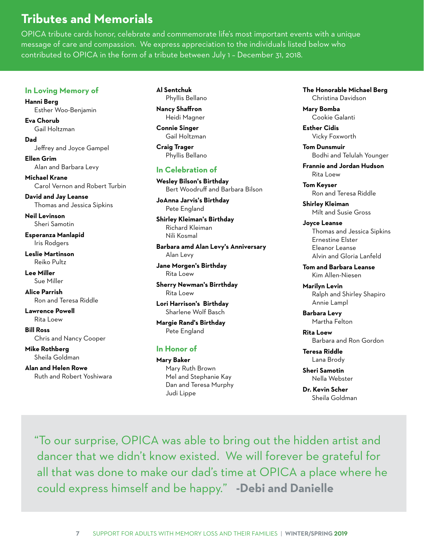### **Tributes and Memorials**

OPICA tribute cards honor, celebrate and commemorate life's most important events with a unique message of care and compassion. We express appreciation to the individuals listed below who contributed to OPICA in the form of a tribute between July 1 – December 31, 2018.

#### **In Loving Memory of**

**Hanni Berg** Esther Woo-Benjamin

**Eva Chorub** Gail Holtzman

**Dad** Jeffrey and Joyce Gampel

**Ellen Grim** Alan and Barbara Levy

**Michael Krane** Carol Vernon and Robert Turbin

**David and Jay Leanse** Thomas and Jessica Sipkins

**Neil Levinson** Sheri Samotin

**Esperanza Manlapid** Iris Rodgers

**Leslie Martinson** Reiko Pultz

**Lee Miller** Sue Miller

**Alice Parrish** Ron and Teresa Riddle

**Lawrence Powell**  Rita Loew

**Bill Ross** Chris and Nancy Cooper

**Mike Rothberg** Sheila Goldman

**Alan and Helen Rowe** Ruth and Robert Yoshiwara **Al Sentchuk** Phyllis Bellano

**Nancy Shaffron** Heidi Magner

**Connie Singer** Gail Holtzman

**Craig Trager**  Phyllis Bellano

### **In Celebration of**

**Wesley Bilson's Birthday** Bert Woodruff and Barbara Bilson

**JoAnna Jarvis's Birthday** Pete England

**Shirley Kleiman's Birthday** Richard Kleiman Nili Kosmal

**Barbara amd Alan Levy's Anniversary** Alan Levy

**Jane Morgen's Birthday** Rita Loew

**Sherry Newman's Birrthday** Rita Loew

**Lori Harrison's Birthday** Sharlene Wolf Basch

**Margie Rand's Birthday** Pete England

### **In Honor of**

**Mary Baker** Mary Ruth Brown Mel and Stephanie Kay Dan and Teresa Murphy Judi Lippe

**The Honorable Michael Berg** Christina Davidson

**Mary Bomba** Cookie Galanti

**Esther Cidis** Vicky Foxworth

**Tom Dunsmuir** Bodhi and Telulah Younger

**Frannie and Jordan Hudson** Rita Loew

**Tom Keyser** Ron and Teresa Riddle

**Shirley Kleiman** Milt and Susie Gross

**Joyce Leanse** Thomas and Jessica Sipkins Ernestine Elster Eleanor Leanse Alvin and Gloria Lanfeld

**Tom and Barbara Leanse** Kim Allen-Niesen

**Marilyn Levin** Ralph and Shirley Shapiro Annie Lampl

**Barbara Levy** Martha Felton

**Rita Loew** Barbara and Ron Gordon

**Teresa Riddle** Lana Brody

**Sheri Samotin** Nella Webster

**Dr. Kevin Scher** Sheila Goldman

"To our surprise, OPICA was able to bring out the hidden artist and dancer that we didn't know existed. We will forever be grateful for all that was done to make our dad's time at OPICA a place where he could express himself and be happy." **-Debi and Danielle**